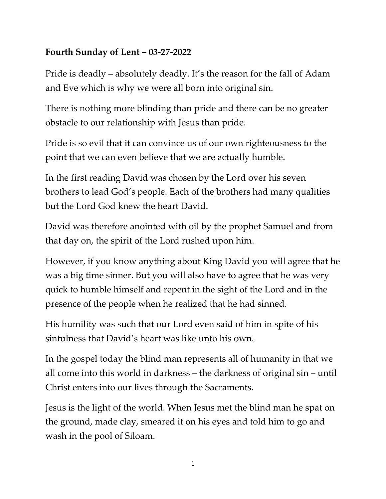## **Fourth Sunday of Lent – 03-27-2022**

Pride is deadly – absolutely deadly. It's the reason for the fall of Adam and Eve which is why we were all born into original sin.

There is nothing more blinding than pride and there can be no greater obstacle to our relationship with Jesus than pride.

Pride is so evil that it can convince us of our own righteousness to the point that we can even believe that we are actually humble.

In the first reading David was chosen by the Lord over his seven brothers to lead God's people. Each of the brothers had many qualities but the Lord God knew the heart David.

David was therefore anointed with oil by the prophet Samuel and from that day on, the spirit of the Lord rushed upon him.

However, if you know anything about King David you will agree that he was a big time sinner. But you will also have to agree that he was very quick to humble himself and repent in the sight of the Lord and in the presence of the people when he realized that he had sinned.

His humility was such that our Lord even said of him in spite of his sinfulness that David's heart was like unto his own.

In the gospel today the blind man represents all of humanity in that we all come into this world in darkness – the darkness of original sin – until Christ enters into our lives through the Sacraments.

Jesus is the light of the world. When Jesus met the blind man he spat on the ground, made clay, smeared it on his eyes and told him to go and wash in the pool of Siloam.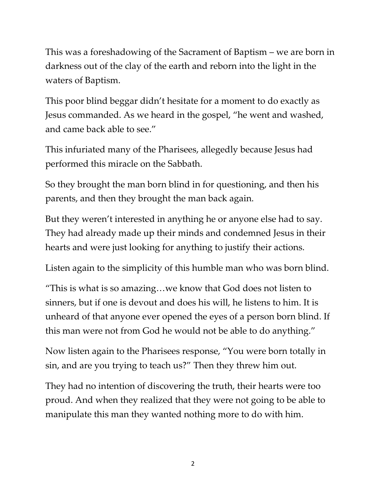This was a foreshadowing of the Sacrament of Baptism – we are born in darkness out of the clay of the earth and reborn into the light in the waters of Baptism.

This poor blind beggar didn't hesitate for a moment to do exactly as Jesus commanded. As we heard in the gospel, "he went and washed, and came back able to see."

This infuriated many of the Pharisees, allegedly because Jesus had performed this miracle on the Sabbath.

So they brought the man born blind in for questioning, and then his parents, and then they brought the man back again.

But they weren't interested in anything he or anyone else had to say. They had already made up their minds and condemned Jesus in their hearts and were just looking for anything to justify their actions.

Listen again to the simplicity of this humble man who was born blind.

"This is what is so amazing…we know that God does not listen to sinners, but if one is devout and does his will, he listens to him. It is unheard of that anyone ever opened the eyes of a person born blind. If this man were not from God he would not be able to do anything."

Now listen again to the Pharisees response, "You were born totally in sin, and are you trying to teach us?" Then they threw him out.

They had no intention of discovering the truth, their hearts were too proud. And when they realized that they were not going to be able to manipulate this man they wanted nothing more to do with him.